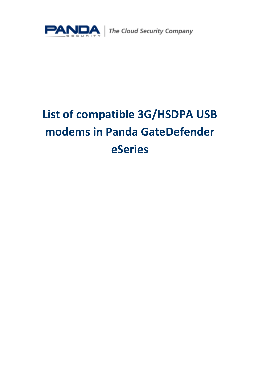

# **List of compatible 3G/HSDPA USB modems in Panda GateDefender eSeries**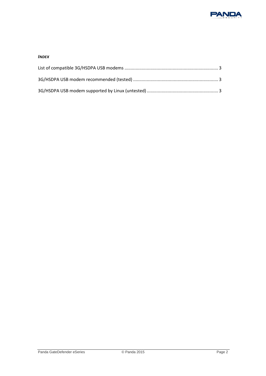

#### *INDEX*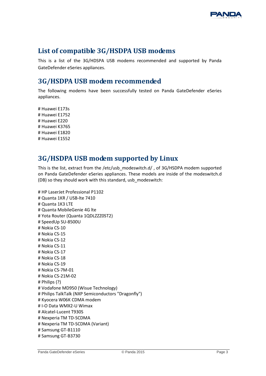

# <span id="page-2-0"></span>**List of compatible 3G/HSDPA USB modems**

This is a list of the 3G/HDSPA USB modems recommended and supported by Panda GateDefender eSeries appliances.

### <span id="page-2-1"></span>**3G/HSDPA USB modem recommended**

The following modems have been successfully tested on Panda GateDefender eSeries appliances.

# Huawei E173s # Huawei E1752 # Huawei E220 # Huawei K3765 # Huawei E1820 # Huawei E1552

## <span id="page-2-2"></span>**3G/HSDPA USB modem supported by Linux**

This is the list, extract from the /etc/usb\_modeswitch.d/ , of 3G/HSDPA modem supported on Panda GateDefender eSeries appliances. These models are inside of the modeswitch.d (DB) so they should work with this standard, usb\_modeswitch:

```
# HP LaserJet Professional P1102
# Quanta 1KR / USB-lte 7410
# Quanta 1K3 LTE
# Quanta MobileGenie 4G lte
# Yota Router (Quanta 1QDLZZZ0ST2)
# SpeedUp SU-8500U
# Nokia CS-10
# Nokia CS-15
# Nokia CS-12
# Nokia CS-11
# Nokia CS-17
# Nokia CS-18
# Nokia CS-19
# Nokia CS-7M-01
# Nokia CS-21M-02
# Philips (?)
# Vodafone MD950 (Wisue Technology)
# Philips TalkTalk (NXP Semiconductors "Dragonfly")
# Kyocera W06K CDMA modem
# I-O Data WMX2-U Wimax
# Alcatel-Lucent T930S
# Nexperia TM TD-SCDMA
# Nexperia TM TD-SCDMA (Variant)
# Samsung GT-B1110
# Samsung GT-B3730
```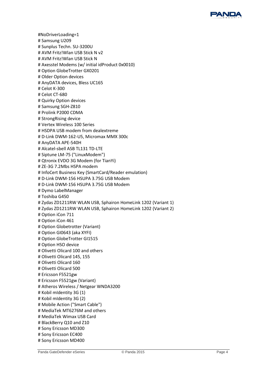

#NoDriverLoading=1 # Samsung U209 # Sunplus Techn. SU-3200U # AVM Fritz!Wlan USB Stick N v2 # AVM Fritz!Wlan USB Stick N # Axesstel Modems (w/ initial idProduct 0x0010) # Option GlobeTrotter GX0201 # Older Option devices # AnyDATA devices, Bless UC165 # Celot K-300 # Celot CT-680 # Quirky Option devices # Samsung SGH-Z810 # Prolink P2000 CDMA # StrongRising device # Vertex Wireless 100 Series # HSDPA USB modem from dealextreme # D-Link DWM-162-U5, Micromax MMX 300c # AnyDATA APE-540H # Alcatel-sbell ASB TL131 TD-LTE # Siptune LM-75 ("LinuxModem") # Qtronix EVDO 3G Modem (for TianYi) # ZE-3G 7.2Mbs HSPA modem # InfoCert Business Key (SmartCard/Reader emulation) # D-Link DWM-156 HSUPA 3.75G USB Modem # D-Link DWM-156 HSUPA 3.75G USB Modem # Dymo LabelManager # Toshiba G450 # Zydas ZD1211RW WLAN USB, Sphairon HomeLink 1202 (Variant 1) # Zydas ZD1211RW WLAN USB, Sphairon HomeLink 1202 (Variant 2) # Option iCon 711 # Option iCon 461 # Option Globetrotter (Variant) # Option GI0643 (aka XYFI) # Option GlobeTrotter GI1515 # Option HSO device # Olivetti Olicard 100 and others # Olivetti Olicard 145, 155 # Olivetti Olicard 160 # Olivetti Olicard 500 # Ericsson F5521gw # Ericsson F5521gw (Variant) # Atheros Wireless / Netgear WNDA3200 # Kobil mIdentity 3G (1) # Kobil mIdentity 3G (2) # Mobile Action ("Smart Cable") # MediaTek MT6276M and others # MediaTek Wimax USB Card # BlackBerry Q10 and Z10 # Sony Ericsson MD300 # Sony Ericsson EC400 # Sony Ericsson MD400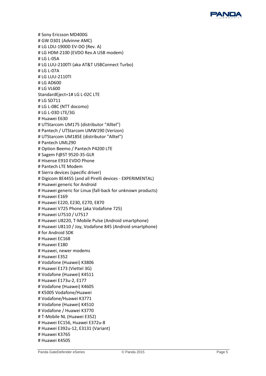

# Sony Ericsson MD400G # GW D301 (Advinne AMC) # LG LDU-1900D EV-DO (Rev. A) # LG HDM-2100 (EVDO Rev.A USB modem) # LG L-05A # LG LUU-2100TI (aka AT&T USBConnect Turbo) # LG L-07A # LG LUU-2110TI # LG AD600 # LG VL600 StandardEject=1# LG L-02C LTE # LG SD711 # LG L-08C (NTT docomo) # LG L-03D LTE/3G # Huawei E630 # UTStarcom UM175 (distributor "Alltel") # Pantech / UTStarcom UMW190 (Verizon) # UTStarcom UM185E (distributor "Alltel") # Pantech UML290 # Option Beemo / Pantech P4200 LTE # Sagem F@ST 9520-35-GLR # Hisense E910 EVDO Phone # Pantech LTE Modem # Sierra devices (specific driver) # Digicom 8E4455 (and all Pirelli devices - EXPERIMENTAL) # Huawei generic for Android # Huawei generic for Linux (fall-back for unknown products) # Huawei E169 # Huawei E220, E230, E270, E870 # Huawei V725 Phone (aka Vodafone 725) # Huawei U7510 / U7517 # Huawei U8220, T-Mobile Pulse (Android smartphone) # Huawei U8110 / Joy, Vodafone 845 (Android smartphone) # for Android SDK # Huawei EC168 # Huawei E180 # Huawei, newer modems # Huawei E352 # Vodafone (Huawei) K3806 # Huawei E173 (Viettel 3G) # Vodafone (Huawei) K4511 # Huawei E173u-2, E177 # Vodafone (Huawei) K4605 # K5005 Vodafone/Huawei # Vodafone/Huawei K3771 # Vodafone (Huawei) K4510 # Vodafone / Huawei K3770 # T-Mobile NL (Huawei E352) # Huawei EC156, Huawei E372u-8 # Huawei E392u-12, E3131 (Variant) # Huawei K3765 # Huawei K4505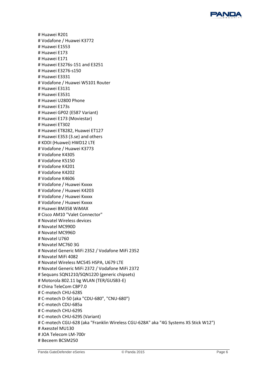

# Huawei R201 # Vodafone / Huawei K3772 # Huawei E1553 # Huawei E173 # Huawei E171 # Huawei E3276s-151 and E3251 # Huawei E3276-s150 # Huawei E3331 # Vodafone / Huawei W5101 Router # Huawei E3131 # Huawei E3531 # Huawei U2800 Phone # Huawei E173s # Huawei GP02 (E587 Variant) # Huawei E173 (Moviestar) # Huawei ET302 # Huawei ET8282, Huawei ET127 # Huawei E353 (3.se) and others # KDDI (Huawei) HWD12 LTE # Vodafone / Huawei K3773 # Vodafone K4305 # Vodafone K5150 # Vodafone K4201 # Vodafone K4202 # Vodafone K4606 # Vodafone / Huawei Kxxxx # Vodafone / Huawei K4203 # Vodafone / Huawei Kxxxx # Vodafone / Huawei Kxxxx # Huawei BM358 WiMAX # Cisco AM10 "Valet Connector" # Novatel Wireless devices # Novatel MC990D # Novatel MC996D # Novatel U760 # Novatel MC760 3G # Novatel Generic MiFi 2352 / Vodafone MiFi 2352 # Novatel MiFi 4082 # Novatel Wireless MC545 HSPA, U679 LTE # Novatel Generic MiFi 2372 / Vodafone MiFi 2372 # Sequans SQN1210/SQN1220 (generic chipsets) # Motorola 802.11 bg WLAN (TER/GUSB3-E) # China TeleCom CBP7.0 # C-motech CHU-628S # C-motech D-50 (aka "CDU-680", "CNU-680") # C-motech CDU-685a # C-motech CHU-629S # C-motech CHU-629S (Variant) # C-motech CGU-628 (aka "Franklin Wireless CGU-628A" aka "4G Systems XS Stick W12") # Axesstel MU130 # JOA Telecom LM-700r # Beceem BCSM250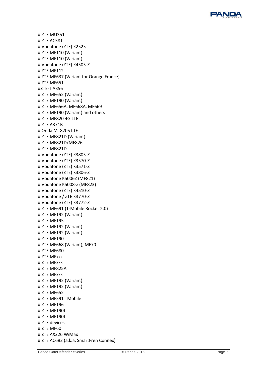

# ZTE MU351 # ZTE AC581 # Vodafone (ZTE) K2525 # ZTE MF110 (Variant) # ZTE MF110 (Variant) # Vodafone (ZTE) K4505 - Z # ZTE MF112 # ZTE MF637 (Variant for Orange France) # ZTE MF651 #ZTE -T A356 # ZTE MF652 (Variant) # ZTE MF190 (Variant) # ZTE MF656A, MF668A, MF669 # ZTE MF190 (Variant) and others # ZTE MF820 4G LTE # ZTE A371B # Onda MT8205 LTE # ZTE MF821D (Variant) # ZTE MF821D/MF826 # ZTE MF821D # Vodafone (ZTE) K3805 - Z # Vodafone (ZTE) K3570 - Z # Vodafone (ZTE) K3571 - Z # Vodafone (ZTE) K3806 - Z # Vodafone K5006Z (MF821) # Vodafone K5008 -z (MF823) # Vodafone (ZTE) K4510 - Z # Vodafone / ZTE K3770 - Z # Vodafone (ZTE) K3772 - Z # ZTE MF691 (T -Mobile Rocket 2.0) # ZTE MF192 (Variant) # ZTE MF195 # ZTE MF192 (Variant) # ZTE MF192 (Variant) # ZTE MF190 # ZTE MF668 (Variant), MF70 # ZTE MF680 # ZTE MFxxx # ZTE MFxxx # ZTE MF825A # ZTE MFxxx # ZTE MF192 (Variant) # ZTE MF192 (Variant) # ZTE MF652 # ZTE MF591 TMobile # ZTE MF196 # ZTE MF190J # ZTE MF190J # ZTE devices # ZTE MF60 # ZTE AX226 WiMax # ZTE AC682 (a.k.a. SmartFren Connex)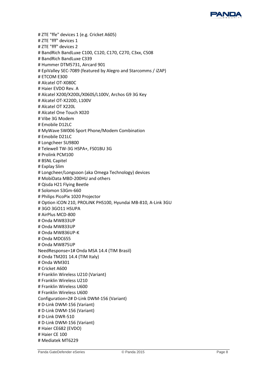

# ZTE "ffe" devices 1 (e.g. Cricket A605) # ZTE "fff" devices 1 # ZTE "fff" devices 2 # BandRich BandLuxe C100, C120, C170, C270, C3xx, C508 # BandRich BandLuxe C339 # Hummer DTM5731, Aircard 901 # EpiValley SEC-7089 (featured by Alegro and Starcomms / iZAP) # ETCOM E300 # Alcatel OT-X080C # Haier EVDO Rev. A # Alcatel X200/X200L/X060S/L100V, Archos G9 3G Key # Alcatel OT-X220D, L100V # Alcatel OT X220L # Alcatel One Touch X020 # Vibe 3G Modem # Emobile D12LC # MyWave SW006 Sport Phone/Modem Combination # Emobile D21LC # Longcheer SU9800 # Telewell TW-3G HSPA+, FS01BU 3G # Prolink PCM100 # BSNL Capitel # Explay Slim # Longcheer/Longsoon (aka Omega Technology) devices # MobiData MBD-200HU and others # Qisda H21 Flying Beetle # Solomon S3Gm-660 # Philips PicoPix 1020 Projector # Option iCON 210, PROLiNK PHS100, Hyundai MB-810, A-Link 3GU # 3GO 3GO11 HSUPA # AirPlus MCD-800 # Onda MW833UP # Onda MW833UP # Onda MW836UP-K # Onda MDC655 # Onda MW875UP NeedResponse=1# Onda MSA 14.4 (TIM Brasil) # Onda TM201 14.4 (TIM Italy) # Onda WM301 # Cricket A600 # Franklin Wireless U210 (Variant) # Franklin Wireless U210 # Franklin Wireless U600 # Franklin Wireless U600 Configuration=2# D-Link DWM-156 (Variant) # D-Link DWM-156 (Variant) # D-Link DWM-156 (Variant) # D-Link DWR-510 # D-Link DWM-156 (Variant) # Haier CE682 (EVDO) # Haier CE 100 # Mediatek MT6229